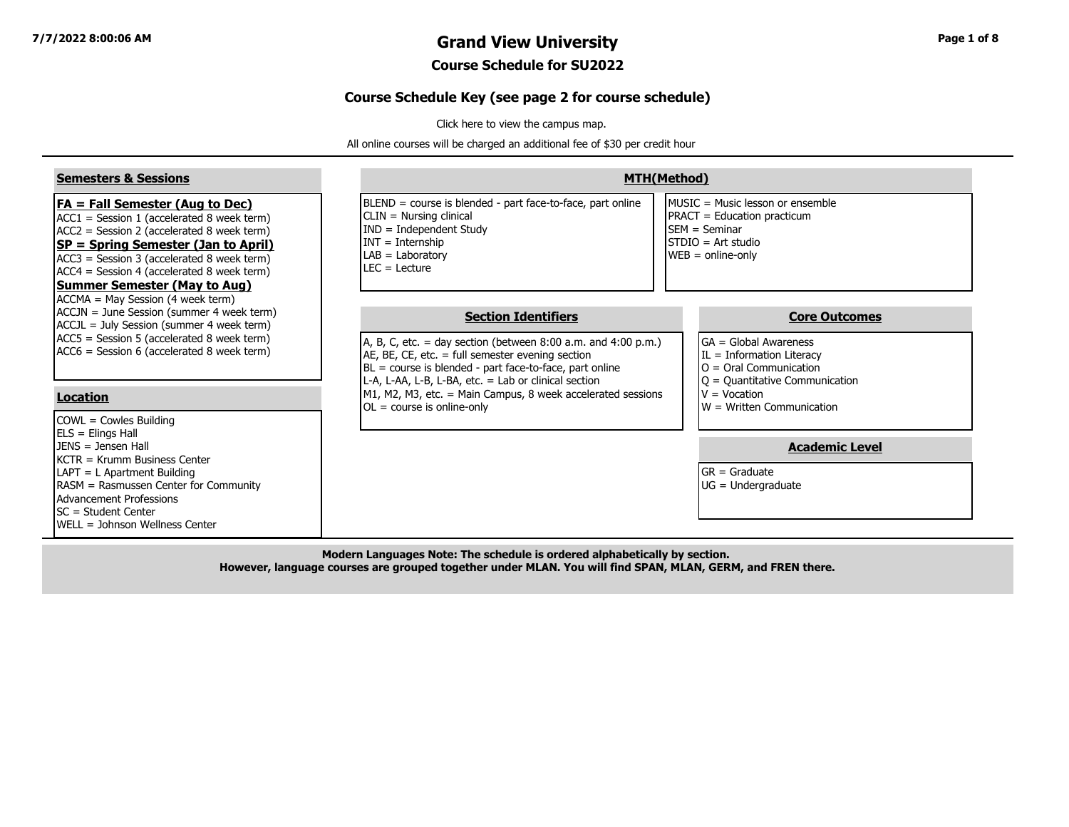## **7/7/2022 8:00:06 AM Grand View University Page 1 of 8**

### **Course Schedule for SU2022**

#### **Course Schedule Key (see page 2 for course schedule)**

[Click here to view the campus map.](https://www.grandview.edu/filesimages/PDF/AboutGV/CampusDirections/gv_campus_map.pdf)

All online courses will be charged an additional fee of \$30 per credit hour

| <b>Semesters &amp; Sessions</b>                                                                                                                                                                                                                                                                                           | <b>MTH(Method)</b>                                                                                                                                                                                                                                                                                                                                                      |                                                                                                                                                                                                |  |  |  |  |  |  |  |
|---------------------------------------------------------------------------------------------------------------------------------------------------------------------------------------------------------------------------------------------------------------------------------------------------------------------------|-------------------------------------------------------------------------------------------------------------------------------------------------------------------------------------------------------------------------------------------------------------------------------------------------------------------------------------------------------------------------|------------------------------------------------------------------------------------------------------------------------------------------------------------------------------------------------|--|--|--|--|--|--|--|
| <b>FA = Fall Semester (Aug to Dec)</b><br>$ACC1 = Session 1 (accelerated 8 week term)$<br>$ACC2 = Session 2 (accelerated 8 week term)$<br><b>SP = Spring Semester (Jan to April)</b><br>ACC3 = Session 3 (accelerated 8 week term)<br>$ACC4 = Session 4 (accelerated 8 week term)$<br><b>Summer Semester (May to Aug)</b> | BLEND = course is blended - part face-to-face, part online<br>CLIN = Nursing clinical<br>$IND = Independent Study$<br>$INT = Internship$<br>$LAB = Laboratory$<br>$LEC = Leture$                                                                                                                                                                                        | MUSIC = Music lesson or ensemble<br>PRACT = Education practicum<br><b>ISEM</b> = Seminar<br>STDIO = Art studio<br>$WEB = online-only$                                                          |  |  |  |  |  |  |  |
| ACCMA = May Session (4 week term)<br>ACCJN = June Session (summer 4 week term)<br>ACCJL = July Session (summer 4 week term)<br>ACC5 = Session 5 (accelerated 8 week term)<br>ACC6 = Session 6 (accelerated 8 week term)<br><b>Location</b><br>COWL = Cowles Building                                                      | <b>Section Identifiers</b><br>A, B, C, etc. = day section (between $8:00$ a.m. and $4:00$ p.m.)<br>AE, BE, CE, etc. $=$ full semester evening section<br>BL = course is blended - part face-to-face, part online<br>L-A, L-AA, L-B, L-BA, etc. = Lab or clinical section<br>M1, M2, M3, etc. = Main Campus, 8 week accelerated sessions<br>$OL = course$ is online-only | <b>Core Outcomes</b><br>$IGA = Global Awards$<br>$IL = Information Literary$<br>$O =$ Oral Communication<br>$Q =$ Quantitative Communication<br>$V = Vocation$<br>$W = W$ ritten Communication |  |  |  |  |  |  |  |
| $ ELS = Elings Hall$<br>$JENS = Jensen Hall$<br><b>IKCTR = Krumm Business Center</b><br>LAPT = L Apartment Building<br>RASM = Rasmussen Center for Community<br>Advancement Professions<br><b>ISC = Student Center</b><br><b>I</b> WELL = Johnson Wellness Center                                                         |                                                                                                                                                                                                                                                                                                                                                                         | <b>Academic Level</b><br>$G$ R = Graduate<br>$UG = Undergraduate$                                                                                                                              |  |  |  |  |  |  |  |

**Modern Languages Note: The schedule is ordered alphabetically by section. However, language courses are grouped together under MLAN. You will find SPAN, MLAN, GERM, and FREN there.**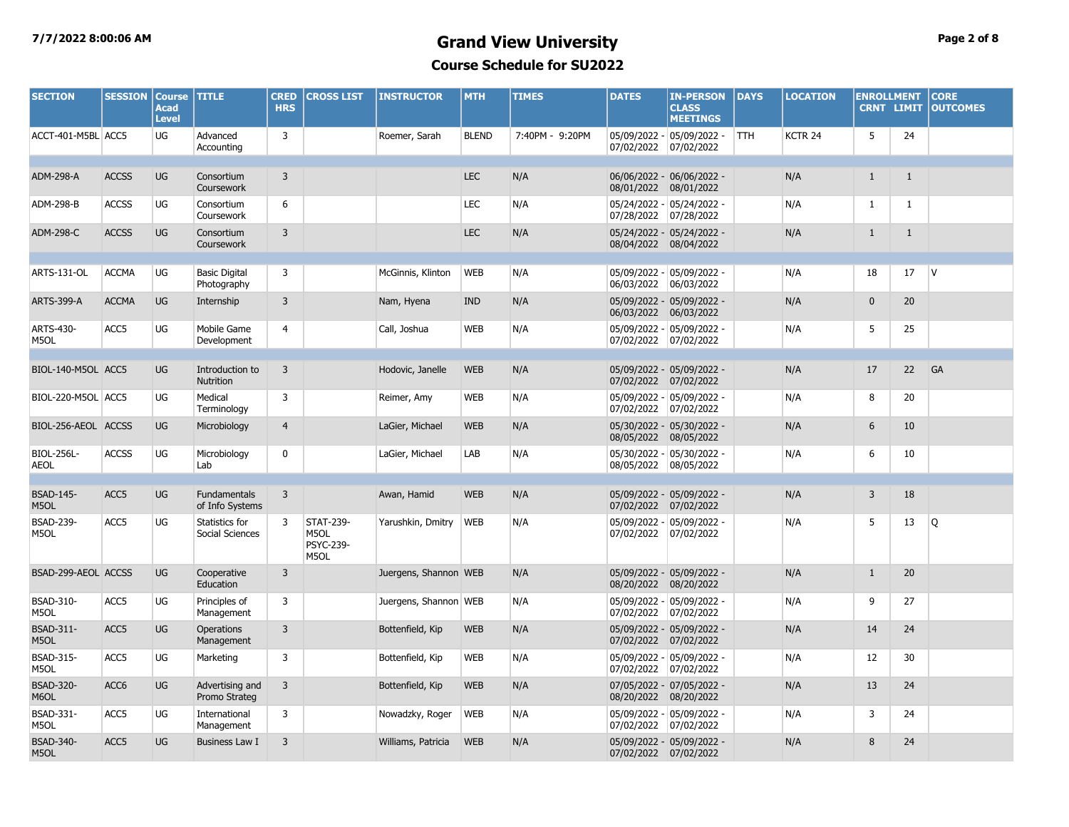### **7/7/2022 8:00:06 AM Grand View University Page 2 of 8 Course Schedule for SU2022**

| <b>SECTION</b>                   | <b>SESSION</b>   | <b>Course TITLE</b><br><b>Acad</b><br><b>Level</b> |                                        | <b>CRED</b><br><b>HRS</b> | <b>CROSS LIST</b>                             | <b>INSTRUCTOR</b>     | <b>MTH</b>   | <b>TIMES</b>    | <b>DATES</b> | <b>IN-PERSON</b><br><b>CLASS</b><br><b>MEETINGS</b> | DAYS       | <b>LOCATION</b>    | <b>ENROLLMENT</b><br><b>CRNT LIMIT</b> |              | <b>CORE</b><br><b>OUTCOMES</b> |
|----------------------------------|------------------|----------------------------------------------------|----------------------------------------|---------------------------|-----------------------------------------------|-----------------------|--------------|-----------------|--------------|-----------------------------------------------------|------------|--------------------|----------------------------------------|--------------|--------------------------------|
| ACCT-401-M5BL ACC5               |                  | <b>UG</b>                                          | Advanced<br>Accounting                 | 3                         |                                               | Roemer, Sarah         | <b>BLEND</b> | 7:40PM - 9:20PM | 07/02/2022   | 05/09/2022 - 05/09/2022 -<br>07/02/2022             | <b>TTH</b> | KCTR <sub>24</sub> | 5                                      | 24           |                                |
| ADM-298-A                        | <b>ACCSS</b>     | <b>UG</b>                                          | Consortium<br>Coursework               | $\overline{3}$            |                                               |                       | <b>LEC</b>   | N/A             | 08/01/2022   | 06/06/2022 - 06/06/2022 -<br>08/01/2022             |            | N/A                | $\mathbf{1}$                           | $\mathbf{1}$ |                                |
| ADM-298-B                        | <b>ACCSS</b>     | UG                                                 | Consortium<br>Coursework               | 6                         |                                               |                       | <b>LEC</b>   | N/A             | 07/28/2022   | 05/24/2022 - 05/24/2022 -<br>07/28/2022             |            | N/A                | $\mathbf{1}$                           | $\mathbf{1}$ |                                |
| ADM-298-C                        | <b>ACCSS</b>     | UG                                                 | Consortium<br>Coursework               | 3                         |                                               |                       | <b>LEC</b>   | N/A             |              | 05/24/2022 - 05/24/2022 -<br>08/04/2022 08/04/2022  |            | N/A                | $\mathbf{1}$                           | $\mathbf{1}$ |                                |
| <b>ARTS-131-OL</b>               | <b>ACCMA</b>     | UG                                                 | <b>Basic Digital</b><br>Photography    | 3                         |                                               | McGinnis, Klinton     | <b>WEB</b>   | N/A             | 06/03/2022   | 05/09/2022 - 05/09/2022 -<br>06/03/2022             |            | N/A                | 18                                     | 17           | V                              |
| <b>ARTS-399-A</b>                | <b>ACCMA</b>     | <b>UG</b>                                          | Internship                             | 3                         |                                               | Nam, Hyena            | <b>IND</b>   | N/A             | 06/03/2022   | 05/09/2022 - 05/09/2022 -<br>06/03/2022             |            | N/A                | $\mathbf{0}$                           | 20           |                                |
| ARTS-430-<br>M5OL                | ACC5             | UG                                                 | Mobile Game<br>Development             | $\overline{4}$            |                                               | Call, Joshua          | <b>WEB</b>   | N/A             |              | 05/09/2022 - 05/09/2022 -<br>07/02/2022 07/02/2022  |            | N/A                | 5                                      | 25           |                                |
| BIOL-140-M5OL ACC5               |                  | <b>UG</b>                                          | Introduction to                        | 3                         |                                               | Hodovic, Janelle      | <b>WEB</b>   | N/A             |              | 05/09/2022 - 05/09/2022 -                           |            | N/A                | 17                                     | 22           | GA                             |
|                                  |                  |                                                    | <b>Nutrition</b>                       |                           |                                               |                       |              |                 |              | 07/02/2022 07/02/2022                               |            |                    |                                        |              |                                |
| BIOL-220-M5OL ACC5               |                  | UG                                                 | Medical<br>Terminology                 | 3                         |                                               | Reimer, Amy           | <b>WEB</b>   | N/A             | 07/02/2022   | 05/09/2022 - 05/09/2022 -<br>07/02/2022             |            | N/A                | 8                                      | 20           |                                |
| BIOL-256-AEOL ACCSS              |                  | <b>UG</b>                                          | Microbiology                           | $\overline{4}$            |                                               | LaGier, Michael       | <b>WEB</b>   | N/A             | 08/05/2022   | 05/30/2022 - 05/30/2022 -<br>08/05/2022             |            | N/A                | 6                                      | 10           |                                |
| <b>BIOL-256L-</b><br><b>AEOL</b> | <b>ACCSS</b>     | UG                                                 | Microbiology<br>Lab                    | $\mathbf 0$               |                                               | LaGier, Michael       | LAB          | N/A             | 08/05/2022   | 05/30/2022 - 05/30/2022 -<br>08/05/2022             |            | N/A                | 6                                      | 10           |                                |
|                                  |                  |                                                    |                                        |                           |                                               |                       |              |                 |              |                                                     |            |                    |                                        |              |                                |
| <b>BSAD-145-</b><br>M5OL         | ACC <sub>5</sub> | UG                                                 | <b>Fundamentals</b><br>of Info Systems | $\overline{3}$            |                                               | Awan, Hamid           | <b>WEB</b>   | N/A             | 07/02/2022   | 05/09/2022 - 05/09/2022 -<br>07/02/2022             |            | N/A                | $\overline{3}$                         | 18           |                                |
| <b>BSAD-239-</b><br>M5OL         | ACC5             | UG                                                 | Statistics for<br>Social Sciences      | 3                         | <b>STAT-239-</b><br>M5OL<br>PSYC-239-<br>M5OL | Yarushkin, Dmitry     | <b>WEB</b>   | N/A             | 07/02/2022   | 05/09/2022 - 05/09/2022 -<br>07/02/2022             |            | N/A                | 5                                      | 13           | Q                              |
| BSAD-299-AEOL ACCSS              |                  | <b>UG</b>                                          | Cooperative<br>Education               | 3                         |                                               | Juergens, Shannon WEB |              | N/A             | 08/20/2022   | 05/09/2022 - 05/09/2022 -<br>08/20/2022             |            | N/A                | $\mathbf{1}$                           | 20           |                                |
| <b>BSAD-310-</b><br>M5OL         | ACC5             | UG                                                 | Principles of<br>Management            | 3                         |                                               | Juergens, Shannon WEB |              | N/A             | 07/02/2022   | 05/09/2022 - 05/09/2022 -<br>07/02/2022             |            | N/A                | 9                                      | 27           |                                |
| <b>BSAD-311-</b><br>M5OL         | ACC <sub>5</sub> | UG                                                 | Operations<br>Management               | 3                         |                                               | Bottenfield, Kip      | <b>WEB</b>   | N/A             | 07/02/2022   | 05/09/2022 - 05/09/2022 -<br>07/02/2022             |            | N/A                | 14                                     | 24           |                                |
| <b>BSAD-315-</b><br>M5OL         | ACC <sub>5</sub> | UG                                                 | Marketing                              | 3                         |                                               | Bottenfield, Kip      | <b>WEB</b>   | N/A             | 07/02/2022   | 05/09/2022 - 05/09/2022 -<br>07/02/2022             |            | N/A                | 12                                     | 30           |                                |
| <b>BSAD-320-</b><br>M6OL         | ACC6             | UG                                                 | Advertising and<br>Promo Strateg       | $\overline{3}$            |                                               | Bottenfield, Kip      | <b>WEB</b>   | N/A             | 08/20/2022   | 07/05/2022 - 07/05/2022 -<br>08/20/2022             |            | N/A                | 13                                     | 24           |                                |
| BSAD-331-<br>M5OL                | ACC5             | UG                                                 | International<br>Management            | 3                         |                                               | Nowadzky, Roger       | <b>WEB</b>   | N/A             | 07/02/2022   | 05/09/2022 - 05/09/2022 -<br>07/02/2022             |            | N/A                | 3                                      | 24           |                                |
| <b>BSAD-340-</b><br>M5OL         | ACC5             | <b>UG</b>                                          | <b>Business Law I</b>                  | 3                         |                                               | Williams, Patricia    | <b>WEB</b>   | N/A             |              | 05/09/2022 - 05/09/2022 -<br>07/02/2022 07/02/2022  |            | N/A                | 8                                      | 24           |                                |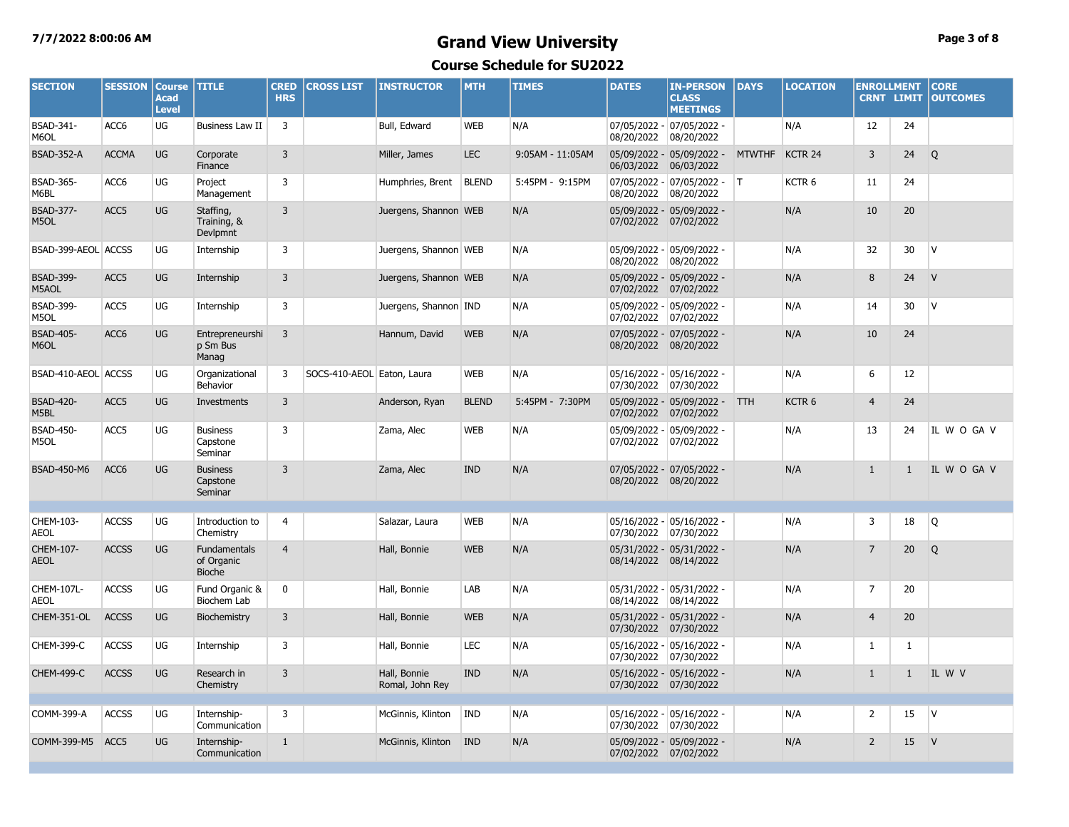### **7/7/2022 8:00:06 AM Grand View University Page 3 of 8 Course Schedule for SU2022**

| <b>SECTION</b>            | <b>SESSION</b>   | <b>Course</b><br><b>Acad</b><br><b>Level</b> | <b>TITLE</b>                                       | <b>CRED</b><br><b>HRS</b> | <b>CROSS LIST</b>          | <b>INSTRUCTOR</b>               | <b>MTH</b>   | <b>TIMES</b>     | <b>DATES</b>          | <b>IN-PERSON</b><br><b>CLASS</b><br><b>MEETINGS</b> | <b>DAYS</b>   | <b>LOCATION</b>   | <b>ENROLLMENT</b> | <b>CRNT LIMIT</b> | <b>CORE</b><br><b>OUTCOMES</b> |
|---------------------------|------------------|----------------------------------------------|----------------------------------------------------|---------------------------|----------------------------|---------------------------------|--------------|------------------|-----------------------|-----------------------------------------------------|---------------|-------------------|-------------------|-------------------|--------------------------------|
| BSAD-341-<br>M6OL         | ACC6             | UG                                           | Business Law II                                    | $\overline{3}$            |                            | Bull, Edward                    | <b>WEB</b>   | N/A              | 08/20/2022            | 07/05/2022 - 07/05/2022 -<br>08/20/2022             |               | N/A               | 12                | 24                |                                |
| <b>BSAD-352-A</b>         | <b>ACCMA</b>     | UG                                           | Corporate<br>Finance                               | $\overline{3}$            |                            | Miller, James                   | <b>LEC</b>   | 9:05AM - 11:05AM | 06/03/2022            | 05/09/2022 - 05/09/2022 -<br>06/03/2022             | <b>MTWTHF</b> | KCTR 24           | 3                 | 24                | $\circ$                        |
| <b>BSAD-365-</b><br>M6BL  | ACC6             | UG                                           | Project<br>Management                              | 3                         |                            | Humphries, Brent                | <b>BLEND</b> | 5:45PM - 9:15PM  | 08/20/2022            | $07/05/2022 - 07/05/2022 -$<br>08/20/2022           |               | KCTR <sub>6</sub> | 11                | 24                |                                |
| <b>BSAD-377-</b><br>M5OL  | ACC5             | UG                                           | Staffing,<br>Training, &<br>Devlpmnt               | $\overline{3}$            |                            | Juergens, Shannon WEB           |              | N/A              | 07/02/2022            | 05/09/2022 - 05/09/2022 -<br>07/02/2022             |               | N/A               | 10                | 20                |                                |
| BSAD-399-AEOL ACCSS       |                  | UG                                           | Internship                                         | 3                         |                            | Juergens, Shannon WEB           |              | N/A              | 08/20/2022            | 05/09/2022 - 05/09/2022 -<br>08/20/2022             |               | N/A               | 32                | 30                | $\mathsf{V}$                   |
| <b>BSAD-399-</b><br>M5AOL | ACC <sub>5</sub> | <b>UG</b>                                    | Internship                                         | $\overline{3}$            |                            | Juergens, Shannon WEB           |              | N/A              | 07/02/2022 07/02/2022 | 05/09/2022 - 05/09/2022 -                           |               | N/A               | 8                 | 24                | V                              |
| <b>BSAD-399-</b><br>M5OL  | ACC5             | UG                                           | Internship                                         | $\overline{3}$            |                            | Juergens, Shannon IND           |              | N/A              | 07/02/2022            | 05/09/2022 - 05/09/2022 -<br>07/02/2022             |               | N/A               | 14                | 30                | $\mathsf{V}$                   |
| <b>BSAD-405-</b><br>M6OL  | ACC6             | UG                                           | Entrepreneurshi<br>p Sm Bus<br>Manag               | $\overline{3}$            |                            | Hannum, David                   | <b>WEB</b>   | N/A              | 08/20/2022 08/20/2022 | 07/05/2022 - 07/05/2022 -                           |               | N/A               | 10                | 24                |                                |
| BSAD-410-AEOL ACCSS       |                  | UG                                           | Organizational<br>Behavior                         | $\overline{3}$            | SOCS-410-AEOL Eaton, Laura |                                 | <b>WEB</b>   | N/A              | 07/30/2022            | 05/16/2022 - 05/16/2022 -<br>07/30/2022             |               | N/A               | 6                 | 12                |                                |
| <b>BSAD-420-</b><br>M5BL  | ACC <sub>5</sub> | UG                                           | Investments                                        | $\overline{3}$            |                            | Anderson, Ryan                  | <b>BLEND</b> | 5:45PM - 7:30PM  | 07/02/2022 07/02/2022 | 05/09/2022 - 05/09/2022 - TTH                       |               | KCTR <sub>6</sub> | $\overline{4}$    | 24                |                                |
| <b>BSAD-450-</b><br>M5OL  | ACC5             | UG                                           | <b>Business</b><br>Capstone<br>Seminar             | 3                         |                            | Zama, Alec                      | <b>WEB</b>   | N/A              | 07/02/2022            | 05/09/2022 - 05/09/2022 -<br>07/02/2022             |               | N/A               | 13                | 24                | IL W O GA V                    |
| <b>BSAD-450-M6</b>        | ACC <sub>6</sub> | UG                                           | <b>Business</b><br>Capstone<br>Seminar             | $\overline{3}$            |                            | Zama, Alec                      | <b>IND</b>   | N/A              | 08/20/2022 08/20/2022 | 07/05/2022 - 07/05/2022 -                           |               | N/A               | $\mathbf{1}$      | $\mathbf{1}$      | IL W O GA V                    |
| CHEM-103-<br>AEOL         | <b>ACCSS</b>     | UG                                           | Introduction to<br>Chemistry                       | $\overline{4}$            |                            | Salazar, Laura                  | <b>WEB</b>   | N/A              | 07/30/2022            | 05/16/2022 - 05/16/2022 -<br> 07/30/2022            |               | N/A               | 3                 | 18                | Q                              |
| CHEM-107-<br><b>AEOL</b>  | <b>ACCSS</b>     | UG                                           | <b>Fundamentals</b><br>of Organic<br><b>Bioche</b> | $\overline{4}$            |                            | Hall, Bonnie                    | <b>WEB</b>   | N/A              | 08/14/2022 08/14/2022 | 05/31/2022 - 05/31/2022 -                           |               | N/A               | $\overline{7}$    | 20                | Q                              |
| CHEM-107L-<br><b>AEOL</b> | <b>ACCSS</b>     | UG                                           | Fund Organic &<br>Biochem Lab                      | 0                         |                            | Hall, Bonnie                    | LAB          | N/A              | 08/14/2022            | 05/31/2022 - 05/31/2022 -<br>08/14/2022             |               | N/A               | 7                 | 20                |                                |
| CHEM-351-OL               | <b>ACCSS</b>     | UG                                           | Biochemistry                                       | $\overline{3}$            |                            | Hall, Bonnie                    | <b>WEB</b>   | N/A              | 07/30/2022 07/30/2022 | 05/31/2022 - 05/31/2022 -                           |               | N/A               | $\overline{4}$    | 20                |                                |
| CHEM-399-C                | <b>ACCSS</b>     | UG                                           | Internship                                         | $\overline{3}$            |                            | Hall, Bonnie                    | LEC          | N/A              | 07/30/2022 07/30/2022 | 05/16/2022 - 05/16/2022 -                           |               | N/A               | $\mathbf{1}$      | $\mathbf{1}$      |                                |
| <b>CHEM-499-C</b>         | <b>ACCSS</b>     | UG                                           | Research in<br>Chemistry                           | $\overline{3}$            |                            | Hall, Bonnie<br>Romal, John Rey | <b>IND</b>   | N/A              | 07/30/2022 07/30/2022 | 05/16/2022 - 05/16/2022 -                           |               | N/A               | $\mathbf{1}$      | $\mathbf{1}$      | IL W V                         |
| COMM-399-A                | <b>ACCSS</b>     | UG                                           | Internship-<br>Communication                       | 3                         |                            | McGinnis, Klinton               | IND          | N/A              | 07/30/2022 07/30/2022 | 05/16/2022 - 05/16/2022 -                           |               | N/A               | $\overline{2}$    | 15                | $\mathsf{V}$                   |
| COMM-399-M5 ACC5          |                  | UG                                           | Internship-<br>Communication                       | $\mathbf{1}$              |                            | McGinnis, Klinton               | <b>IND</b>   | N/A              | 07/02/2022 07/02/2022 | 05/09/2022 - 05/09/2022 -                           |               | N/A               | $\overline{2}$    | 15                | $\mathsf{V}$                   |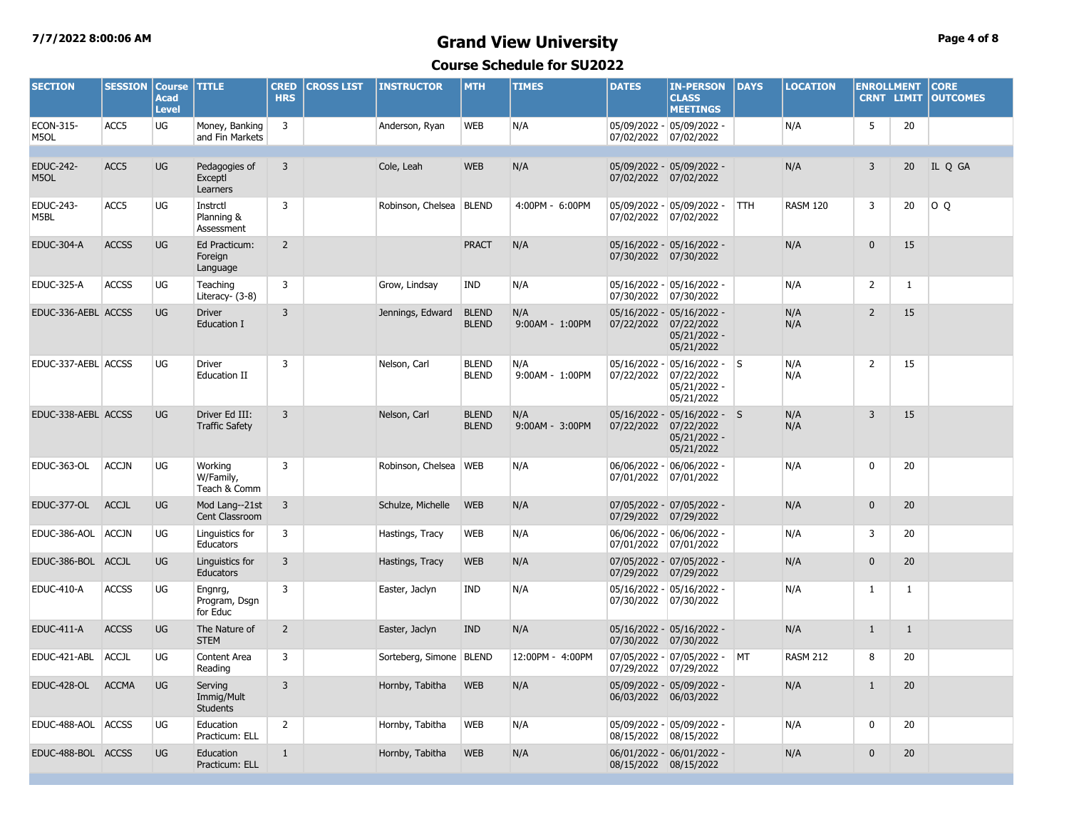# **7/7/2022 8:00:06 AM Grand View University Page 4 of 8**

**Course Schedule for SU2022**

| <b>SECTION</b>           | <b>SESSION</b> | <b>Course</b><br><b>Acad</b><br><b>Level</b> | <b>TITLE</b>                             | <b>CRED</b><br><b>HRS</b> | <b>CROSS LIST</b> | <b>INSTRUCTOR</b>       | <b>MTH</b>                   | <b>TIMES</b>           | <b>DATES</b>               | <b>IN-PERSON</b><br><b>CLASS</b><br><b>MEETINGS</b>                              | DAYS       | <b>LOCATION</b> | <b>ENROLLMENT</b><br><b>CRNT LIMIT</b> |              | <b>CORE</b><br><b>OUTCOMES</b> |
|--------------------------|----------------|----------------------------------------------|------------------------------------------|---------------------------|-------------------|-------------------------|------------------------------|------------------------|----------------------------|----------------------------------------------------------------------------------|------------|-----------------|----------------------------------------|--------------|--------------------------------|
| ECON-315-<br>M5OL        | ACC5           | UG                                           | Money, Banking<br>and Fin Markets        | 3                         |                   | Anderson, Ryan          | <b>WEB</b>                   | N/A                    |                            | 05/09/2022 - 05/09/2022 -<br>07/02/2022 07/02/2022                               |            | N/A             | 5                                      | 20           |                                |
|                          |                |                                              |                                          |                           |                   |                         |                              |                        |                            |                                                                                  |            |                 |                                        |              |                                |
| <b>EDUC-242-</b><br>M5OL | ACC5           | <b>UG</b>                                    | Pedagogies of<br>Exceptl<br>Learners     | $\overline{3}$            |                   | Cole, Leah              | <b>WEB</b>                   | N/A                    |                            | 05/09/2022 - 05/09/2022 -<br>07/02/2022 07/02/2022                               |            | N/A             | 3                                      | 20           | IL Q GA                        |
| EDUC-243-<br>M5BL        | ACC5           | UG                                           | Instrctl<br>Planning &<br>Assessment     | 3                         |                   | Robinson, Chelsea       | <b>BLEND</b>                 | 4:00PM - 6:00PM        | 07/02/2022                 | 05/09/2022 - 05/09/2022 -<br>07/02/2022                                          | <b>TTH</b> | <b>RASM 120</b> | 3                                      | 20           | O Q                            |
| <b>EDUC-304-A</b>        | <b>ACCSS</b>   | UG                                           | Ed Practicum:<br>Foreign<br>Language     | $\overline{2}$            |                   |                         | <b>PRACT</b>                 | N/A                    |                            | 05/16/2022 - 05/16/2022 -<br>07/30/2022 07/30/2022                               |            | N/A             | $\mathbf{0}$                           | 15           |                                |
| <b>EDUC-325-A</b>        | <b>ACCSS</b>   | UG                                           | Teaching<br>Literacy- (3-8)              | 3                         |                   | Grow, Lindsay           | <b>IND</b>                   | N/A                    | 07/30/2022                 | 05/16/2022 - 05/16/2022 -<br>07/30/2022                                          |            | N/A             | $\overline{2}$                         | $\mathbf{1}$ |                                |
| EDUC-336-AEBL ACCSS      |                | UG                                           | <b>Driver</b><br>Education I             | $\overline{3}$            |                   | Jennings, Edward        | <b>BLEND</b><br><b>BLEND</b> | N/A<br>9:00AM - 1:00PM |                            | 05/16/2022 - 05/16/2022 -<br>07/22/2022 07/22/2022<br>05/21/2022 -<br>05/21/2022 |            | N/A<br>N/A      | $\overline{2}$                         | 15           |                                |
| EDUC-337-AEBL ACCSS      |                | UG                                           | <b>Driver</b><br><b>Education II</b>     | 3                         |                   | Nelson, Carl            | <b>BLEND</b><br><b>BLEND</b> | N/A<br>9:00AM - 1:00PM | 05/16/2022 -<br>07/22/2022 | $05/16/2022 - S$<br>07/22/2022<br>05/21/2022 -<br>05/21/2022                     |            | N/A<br>N/A      | $\overline{2}$                         | 15           |                                |
| EDUC-338-AEBL ACCSS      |                | UG                                           | Driver Ed III:<br><b>Traffic Safety</b>  | $\overline{3}$            |                   | Nelson, Carl            | <b>BLEND</b><br><b>BLEND</b> | N/A<br>9:00AM - 3:00PM | 07/22/2022                 | 05/16/2022 - 05/16/2022 - S<br>07/22/2022<br>05/21/2022 -<br>05/21/2022          |            | N/A<br>N/A      | $\overline{3}$                         | 15           |                                |
| <b>EDUC-363-OL</b>       | <b>ACCJN</b>   | <b>UG</b>                                    | Working<br>W/Family,<br>Teach & Comm     | $\overline{3}$            |                   | Robinson, Chelsea WEB   |                              | N/A                    | 07/01/2022                 | 06/06/2022 - 06/06/2022 -<br>07/01/2022                                          |            | N/A             | $\mathbf 0$                            | 20           |                                |
| EDUC-377-OL              | <b>ACCJL</b>   | <b>UG</b>                                    | Mod Lang--21st<br>Cent Classroom         | $\overline{3}$            |                   | Schulze, Michelle       | <b>WEB</b>                   | N/A                    | 07/29/2022                 | 07/05/2022 - 07/05/2022 -<br>07/29/2022                                          |            | N/A             | $\mathbf{0}$                           | 20           |                                |
| EDUC-386-AOL             | ACCJN          | UG                                           | Linguistics for<br>Educators             | 3                         |                   | Hastings, Tracy         | <b>WEB</b>                   | N/A                    | 07/01/2022                 | 06/06/2022 - 06/06/2022 -<br>07/01/2022                                          |            | N/A             | 3                                      | 20           |                                |
| EDUC-386-BOL ACCJL       |                | <b>UG</b>                                    | Linguistics for<br><b>Educators</b>      | $\overline{3}$            |                   | Hastings, Tracy         | <b>WEB</b>                   | N/A                    | 07/29/2022                 | 07/05/2022 - 07/05/2022 -<br>07/29/2022                                          |            | N/A             | $\mathbf{0}$                           | 20           |                                |
| <b>EDUC-410-A</b>        | <b>ACCSS</b>   | UG                                           | Engnrg,<br>Program, Dsgn<br>for Educ     | 3                         |                   | Easter, Jaclyn          | <b>IND</b>                   | N/A                    | 07/30/2022                 | 05/16/2022 - 05/16/2022 -<br>07/30/2022                                          |            | N/A             | $\mathbf{1}$                           | $\mathbf{1}$ |                                |
| <b>EDUC-411-A</b>        | <b>ACCSS</b>   | <b>UG</b>                                    | The Nature of<br><b>STEM</b>             | $\overline{2}$            |                   | Easter, Jaclyn          | <b>IND</b>                   | N/A                    |                            | 05/16/2022 - 05/16/2022 -<br>07/30/2022 07/30/2022                               |            | N/A             | $\mathbf{1}$                           | $\mathbf{1}$ |                                |
| EDUC-421-ABL             | ACCJL          | UG                                           | Content Area<br>Reading                  | 3                         |                   | Sorteberg, Simone BLEND |                              | 12:00PM - 4:00PM       |                            | 07/05/2022 - 07/05/2022 -<br>07/29/2022 07/29/2022                               | МT         | <b>RASM 212</b> | 8                                      | 20           |                                |
| <b>EDUC-428-OL</b>       | <b>ACCMA</b>   | <b>UG</b>                                    | Serving<br>Immig/Mult<br><b>Students</b> | 3                         |                   | Hornby, Tabitha         | <b>WEB</b>                   | N/A                    |                            | 05/09/2022 - 05/09/2022 -<br>06/03/2022 06/03/2022                               |            | N/A             | $\mathbf{1}$                           | 20           |                                |
| EDUC-488-AOL ACCSS       |                | UG                                           | Education<br>Practicum: ELL              | 2                         |                   | Hornby, Tabitha         | <b>WEB</b>                   | N/A                    | 08/15/2022                 | 05/09/2022 - 05/09/2022 -<br>08/15/2022                                          |            | N/A             | 0                                      | 20           |                                |
| EDUC-488-BOL ACCSS       |                | UG                                           | Education<br>Practicum: ELL              | $\mathbf{1}$              |                   | Hornby, Tabitha         | <b>WEB</b>                   | N/A                    |                            | 06/01/2022 - 06/01/2022 -<br>08/15/2022 08/15/2022                               |            | N/A             | $\mathbf{0}$                           | 20           |                                |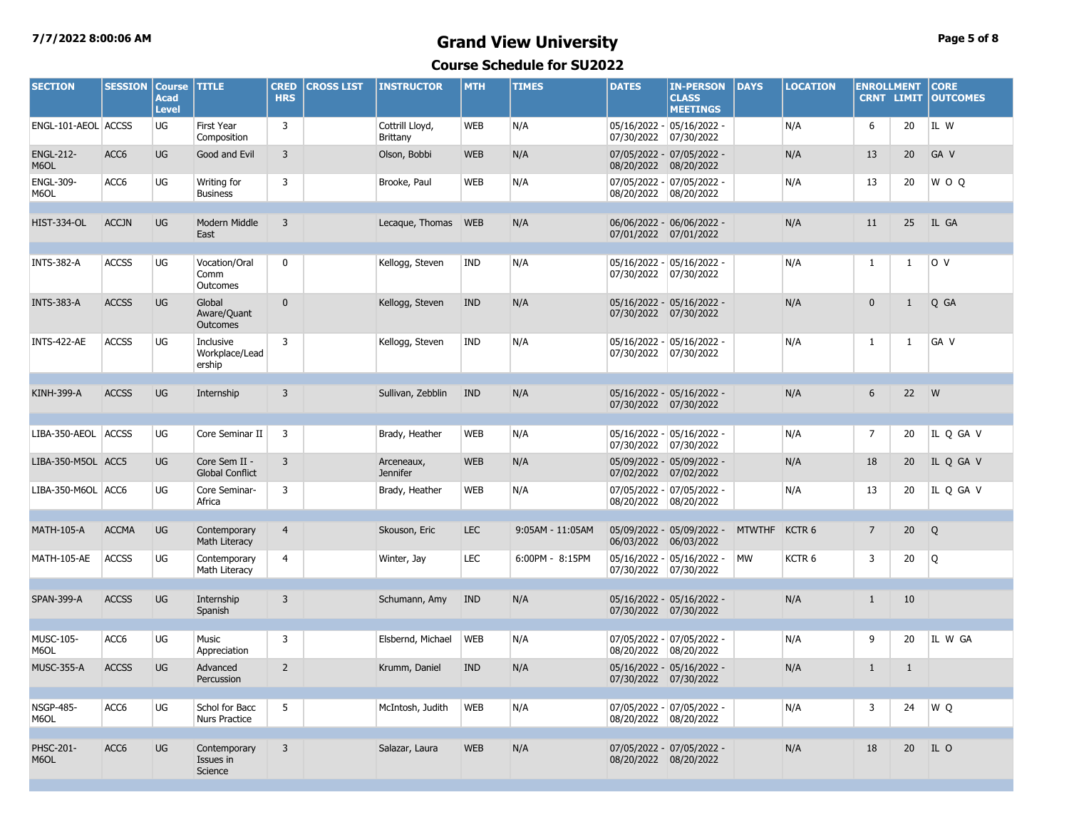### **7/7/2022 8:00:06 AM Grand View University Page 5 of 8 Course Schedule for SU2022**

| <b>SECTION</b>           | <b>SESSION</b>   | <b>Course</b><br><b>Acad</b><br><b>Level</b> | <b>TITLE</b>                            | <b>CRED</b><br><b>HRS</b> | <b>CROSS LIST</b> | <b>INSTRUCTOR</b>                  | <b>MTH</b> | <b>TIMES</b>     | <b>DATES</b>           | <b>IN-PERSON</b><br><b>CLASS</b><br><b>MEETINGS</b> | DAYS          | <b>LOCATION</b>   | <b>ENROLLMENT</b> | <b>CRNT LIMIT</b> | <b>CORE</b><br><b>OUTCOMES</b> |
|--------------------------|------------------|----------------------------------------------|-----------------------------------------|---------------------------|-------------------|------------------------------------|------------|------------------|------------------------|-----------------------------------------------------|---------------|-------------------|-------------------|-------------------|--------------------------------|
| ENGL-101-AEOL ACCSS      |                  | UG                                           | First Year<br>Composition               | 3                         |                   | Cottrill Lloyd,<br><b>Brittany</b> | WEB        | N/A              | 07/30/2022             | 05/16/2022 - 05/16/2022 -<br>07/30/2022             |               | N/A               | 6                 | 20                | IL W                           |
| <b>ENGL-212-</b><br>M6OL | ACC <sub>6</sub> | <b>UG</b>                                    | Good and Evil                           | 3                         |                   | Olson, Bobbi                       | <b>WEB</b> | N/A              | 08/20/2022 08/20/2022  | 07/05/2022 - 07/05/2022 -                           |               | N/A               | 13                | 20                | GA V                           |
| <b>ENGL-309-</b><br>M6OL | ACC6             | UG                                           | Writing for<br><b>Business</b>          | 3                         |                   | Brooke, Paul                       | WEB        | N/A              | 08/20/2022 08/20/2022  | 07/05/2022 - 07/05/2022 -                           |               | N/A               | 13                | 20                | W O Q                          |
| <b>HIST-334-OL</b>       | <b>ACCJN</b>     | UG                                           | Modern Middle<br>East                   | 3                         |                   | Lecaque, Thomas                    | <b>WEB</b> | N/A              | 07/01/2022 07/01/2022  | 06/06/2022 - 06/06/2022 -                           |               | N/A               | 11                | 25                | IL GA                          |
| <b>INTS-382-A</b>        | <b>ACCSS</b>     | UG                                           | Vocation/Oral<br>Comm<br>Outcomes       | 0                         |                   | Kellogg, Steven                    | <b>IND</b> | N/A              | 07/30/2022  07/30/2022 | 05/16/2022 - 05/16/2022 -                           |               | N/A               | 1                 | $\mathbf{1}$      | lo v                           |
| <b>INTS-383-A</b>        | <b>ACCSS</b>     | UG                                           | Global<br>Aware/Quant<br>Outcomes       | $\mathbf 0$               |                   | Kellogg, Steven                    | <b>IND</b> | N/A              | 07/30/2022 07/30/2022  | 05/16/2022 - 05/16/2022 -                           |               | N/A               | 0                 | $\mathbf{1}$      | Q GA                           |
| <b>INTS-422-AE</b>       | <b>ACCSS</b>     | <b>UG</b>                                    | Inclusive<br>Workplace/Lead<br>ership   | 3                         |                   | Kellogg, Steven                    | <b>IND</b> | N/A              | 07/30/2022             | 05/16/2022 - 05/16/2022 -<br>07/30/2022             |               | N/A               | 1                 | 1                 | GA V                           |
| <b>KINH-399-A</b>        | <b>ACCSS</b>     | <b>UG</b>                                    | Internship                              | 3                         |                   | Sullivan, Zebblin                  | <b>IND</b> | N/A              | 07/30/2022 07/30/2022  | 05/16/2022 - 05/16/2022 -                           |               | N/A               | 6                 | 22                | W                              |
| LIBA-350-AEOL ACCSS      |                  | UG                                           | Core Seminar II                         | 3                         |                   | Brady, Heather                     | WEB        | N/A              | 07/30/2022             | 05/16/2022 - 05/16/2022 -<br> 07/30/2022            |               | N/A               | 7                 | 20                | IL Q GA V                      |
| LIBA-350-M5OL ACC5       |                  | <b>UG</b>                                    | Core Sem II -<br><b>Global Conflict</b> | 3                         |                   | Arceneaux,<br><b>Jennifer</b>      | <b>WEB</b> | N/A              | 07/02/2022 07/02/2022  | 05/09/2022 - 05/09/2022 -                           |               | N/A               | 18                | 20                | IL O GA V                      |
| LIBA-350-M6OL ACC6       |                  | UG                                           | Core Seminar-<br>Africa                 | 3                         |                   | Brady, Heather                     | WEB        | N/A              | 08/20/2022 08/20/2022  | 07/05/2022 - 07/05/2022 -                           |               | N/A               | 13                | 20                | IL Q GA V                      |
| <b>MATH-105-A</b>        | <b>ACCMA</b>     | <b>UG</b>                                    | Contemporary<br>Math Literacy           | $\overline{4}$            |                   | Skouson, Eric                      | <b>LEC</b> | 9:05AM - 11:05AM | 06/03/2022             | 05/09/2022 - 05/09/2022 -<br>06/03/2022             | <b>MTWTHF</b> | KCTR <sub>6</sub> | $\overline{7}$    | 20 <sub>2</sub>   | Q                              |
| MATH-105-AE              | <b>ACCSS</b>     | UG                                           | Contemporary<br>Math Literacy           | 4                         |                   | Winter, Jay                        | <b>LEC</b> | 6:00PM - 8:15PM  | 07/30/2022 07/30/2022  | 05/16/2022 - 05/16/2022 -                           | <b>MW</b>     | KCTR <sub>6</sub> | 3                 | 20                | Q                              |
| <b>SPAN-399-A</b>        | <b>ACCSS</b>     | <b>UG</b>                                    | Internship<br>Spanish                   | $\overline{3}$            |                   | Schumann, Amy                      | <b>IND</b> | N/A              | 07/30/2022 07/30/2022  | 05/16/2022 - 05/16/2022 -                           |               | N/A               | $\mathbf{1}$      | 10                |                                |
| <b>MUSC-105-</b><br>M6OL | ACC6             | UG                                           | Music<br>Appreciation                   | 3                         |                   | Elsbernd, Michael                  | <b>WEB</b> | N/A              | 08/20/2022 08/20/2022  | 07/05/2022 - 07/05/2022 -                           |               | N/A               | 9                 | 20                | IL W GA                        |
| <b>MUSC-355-A</b>        | <b>ACCSS</b>     | <b>UG</b>                                    | Advanced<br>Percussion                  | $\overline{2}$            |                   | Krumm, Daniel                      | <b>IND</b> | N/A              | 07/30/2022 07/30/2022  | 05/16/2022 - 05/16/2022 -                           |               | N/A               | $\mathbf{1}$      | $\mathbf{1}$      |                                |
| <b>NSGP-485-</b><br>M6OL | ACC6             | UG                                           | Schol for Bacc<br><b>Nurs Practice</b>  | 5                         |                   | McIntosh, Judith                   | <b>WEB</b> | N/A              | 08/20/2022 08/20/2022  | 07/05/2022 - 07/05/2022 -                           |               | N/A               | 3                 | 24                | WQ                             |
| <b>PHSC-201-</b><br>M6OL | ACC6             | <b>UG</b>                                    | Contemporary<br>Issues in<br>Science    | 3                         |                   | Salazar, Laura                     | <b>WEB</b> | N/A              | 08/20/2022 08/20/2022  | 07/05/2022 - 07/05/2022 -                           |               | N/A               | 18                | 20 <sup>°</sup>   | IL O                           |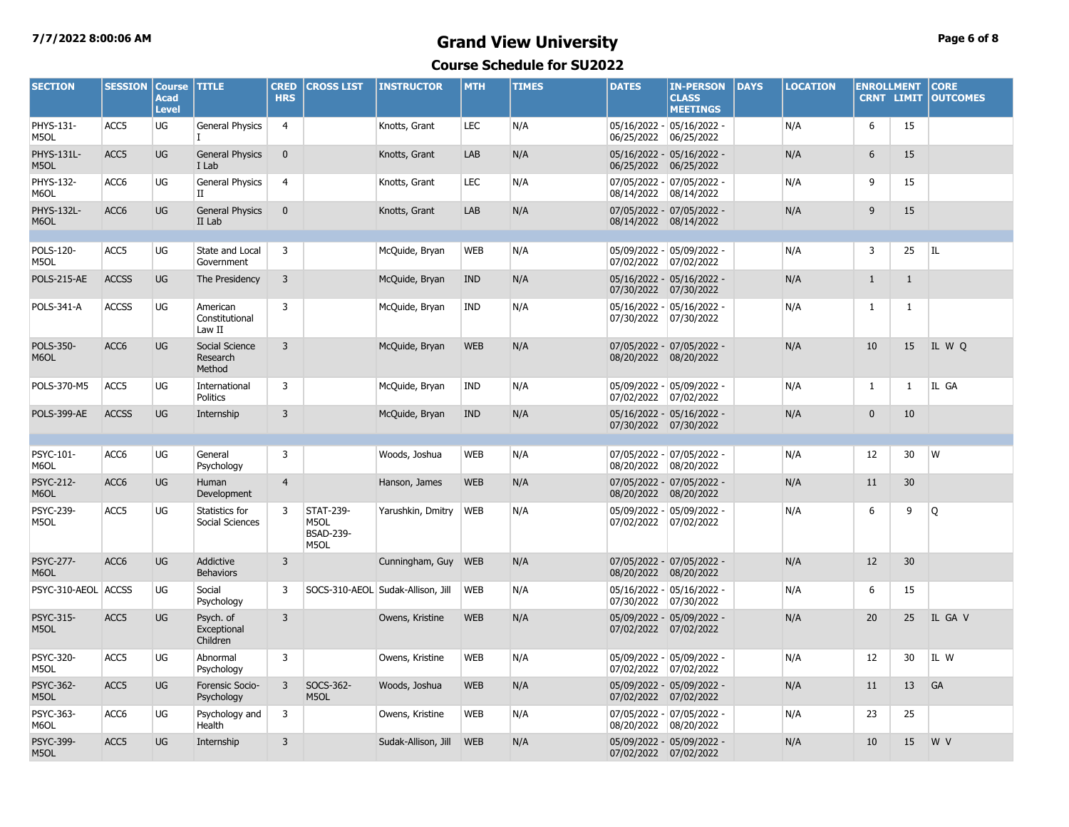### **7/7/2022 8:00:06 AM Grand View University Page 6 of 8 Course Schedule for SU2022**

| <b>SECTION</b>            | <b>SESSION</b>   | <b>Course</b><br><b>Acad</b><br><b>Level</b> | <b>TITLE</b>                         | <b>CRED</b><br><b>HRS</b> | <b>CROSS LIST</b>                                    | <b>INSTRUCTOR</b>                 | <b>MTH</b> | <b>TIMES</b> | <b>DATES</b>          | <b>IN-PERSON</b><br><b>CLASS</b><br><b>MEETINGS</b> | <b>DAYS</b> | <b>LOCATION</b> | <b>ENROLLMENT</b> | <b>CRNT LIMIT</b> | <b>CORE</b><br><b>OUTCOMES</b> |
|---------------------------|------------------|----------------------------------------------|--------------------------------------|---------------------------|------------------------------------------------------|-----------------------------------|------------|--------------|-----------------------|-----------------------------------------------------|-------------|-----------------|-------------------|-------------------|--------------------------------|
| PHYS-131-<br>M5OL         | ACC5             | UG                                           | <b>General Physics</b>               | $\overline{4}$            |                                                      | Knotts, Grant                     | <b>LEC</b> | N/A          | 06/25/2022            | 05/16/2022 - 05/16/2022 -<br>06/25/2022             |             | N/A             | 6                 | 15                |                                |
| <b>PHYS-131L-</b><br>M5OL | ACC5             | UG                                           | <b>General Physics</b><br>I Lab      | $\mathbf 0$               |                                                      | Knotts, Grant                     | LAB        | N/A          | 06/25/2022            | 05/16/2022 - 05/16/2022 -<br>06/25/2022             |             | N/A             | 6                 | 15                |                                |
| PHYS-132-<br>M6OL         | ACC6             | UG                                           | <b>General Physics</b><br>П          | $\overline{4}$            |                                                      | Knotts, Grant                     | <b>LEC</b> | N/A          | 08/14/2022            | 07/05/2022 - 07/05/2022 -<br>08/14/2022             |             | N/A             | 9                 | 15                |                                |
| <b>PHYS-132L-</b><br>M6OL | ACC <sub>6</sub> | <b>UG</b>                                    | <b>General Physics</b><br>II Lab     | $\mathbf{0}$              |                                                      | Knotts, Grant                     | LAB        | N/A          | 08/14/2022 08/14/2022 | 07/05/2022 - 07/05/2022 -                           |             | N/A             | 9                 | 15                |                                |
|                           |                  |                                              |                                      |                           |                                                      |                                   |            |              |                       |                                                     |             |                 |                   |                   |                                |
| POLS-120-<br>M5OL         | ACC5             | UG                                           | State and Local<br>Government        | 3                         |                                                      | McQuide, Bryan                    | <b>WEB</b> | N/A          | 07/02/2022            | 05/09/2022 - 05/09/2022 -<br>07/02/2022             |             | N/A             | 3                 | 25                | IL                             |
| POLS-215-AE               | <b>ACCSS</b>     | <b>UG</b>                                    | The Presidency                       | $\overline{3}$            |                                                      | McQuide, Bryan                    | <b>IND</b> | N/A          | 07/30/2022            | 05/16/2022 - 05/16/2022 -<br>07/30/2022             |             | N/A             | $\mathbf{1}$      | $\mathbf{1}$      |                                |
| POLS-341-A                | <b>ACCSS</b>     | UG                                           | American<br>Constitutional<br>Law II | 3                         |                                                      | McQuide, Bryan                    | <b>IND</b> | N/A          | 07/30/2022            | 05/16/2022 - 05/16/2022 -<br>07/30/2022             |             | N/A             | 1                 | 1                 |                                |
| POLS-350-<br>M6OL         | ACC6             | UG                                           | Social Science<br>Research<br>Method | $\overline{3}$            |                                                      | McQuide, Bryan                    | <b>WEB</b> | N/A          | 08/20/2022 08/20/2022 | 07/05/2022 - 07/05/2022 -                           |             | N/A             | 10                | 15                | IL W Q                         |
| POLS-370-M5               | ACC5             | UG                                           | International<br>Politics            | 3                         |                                                      | McQuide, Bryan                    | <b>IND</b> | N/A          | 07/02/2022            | 05/09/2022 - 05/09/2022 -<br>07/02/2022             |             | N/A             | $\mathbf{1}$      | $\mathbf{1}$      | IL GA                          |
| <b>POLS-399-AE</b>        | <b>ACCSS</b>     | <b>UG</b>                                    | Internship                           | 3                         |                                                      | McQuide, Bryan                    | <b>IND</b> | N/A          | 07/30/2022 07/30/2022 | 05/16/2022 - 05/16/2022 -                           |             | N/A             | $\mathbf{0}$      | 10                |                                |
|                           |                  |                                              |                                      |                           |                                                      |                                   |            |              |                       |                                                     |             |                 |                   |                   |                                |
| PSYC-101-<br>M6OL         | ACC6             | UG                                           | General<br>Psychology                | 3                         |                                                      | Woods, Joshua                     | <b>WEB</b> | N/A          | 08/20/2022 08/20/2022 | 07/05/2022 - 07/05/2022 -                           |             | N/A             | 12                | 30                | W                              |
| <b>PSYC-212-</b><br>M6OL  | ACC <sub>6</sub> | UG                                           | Human<br>Development                 | $\overline{4}$            |                                                      | Hanson, James                     | <b>WEB</b> | N/A          | 08/20/2022            | 07/05/2022 - 07/05/2022 -<br>08/20/2022             |             | N/A             | 11                | 30 <sup>°</sup>   |                                |
| PSYC-239-<br>M5OL         | ACC5             | UG                                           | Statistics for<br>Social Sciences    | 3                         | <b>STAT-239-</b><br>M5OL<br><b>BSAD-239-</b><br>M5OL | Yarushkin, Dmitry                 | <b>WEB</b> | N/A          | 07/02/2022            | 05/09/2022 - 05/09/2022 -<br>07/02/2022             |             | N/A             | 6                 | 9                 | Q                              |
| <b>PSYC-277-</b><br>M6OL  | ACC <sub>6</sub> | UG                                           | Addictive<br><b>Behaviors</b>        | $\overline{3}$            |                                                      | Cunningham, Guy                   | <b>WEB</b> | N/A          | 08/20/2022            | 07/05/2022 - 07/05/2022 -<br>08/20/2022             |             | N/A             | 12                | 30                |                                |
| PSYC-310-AEOL ACCSS       |                  | UG                                           | Social<br>Psychology                 | 3                         |                                                      | SOCS-310-AEOL Sudak-Allison, Jill | <b>WEB</b> | N/A          | 07/30/2022            | 05/16/2022 - 05/16/2022 -<br>07/30/2022             |             | N/A             | 6                 | 15                |                                |
| <b>PSYC-315-</b><br>M5OL  | ACC5             | <b>UG</b>                                    | Psych. of<br>Exceptional<br>Children | $\overline{3}$            |                                                      | Owens, Kristine                   | <b>WEB</b> | N/A          | 07/02/2022 07/02/2022 | 05/09/2022 - 05/09/2022 -                           |             | N/A             | 20                | 25                | IL GA V                        |
| PSYC-320-<br>M5OL         | ACC5             | UG                                           | Abnormal<br>Psychology               | 3                         |                                                      | Owens, Kristine                   | <b>WEB</b> | N/A          | 07/02/2022            | 05/09/2022 - 05/09/2022 -<br>07/02/2022             |             | N/A             | $12 \overline{ }$ | 30                | IL W                           |
| PSYC-362-<br>M5OL         | ACC5             | UG                                           | Forensic Socio-<br>Psychology        | $\overline{3}$            | SOCS-362-<br>M5OL                                    | Woods, Joshua                     | <b>WEB</b> | N/A          | 07/02/2022            | 05/09/2022 - 05/09/2022 -<br>07/02/2022             |             | N/A             | 11                | 13                | GA                             |
| PSYC-363-<br>M6OL         | ACC6             | UG                                           | Psychology and<br>Health             | 3                         |                                                      | Owens, Kristine                   | <b>WEB</b> | N/A          | 08/20/2022            | 07/05/2022 - 07/05/2022 -<br>08/20/2022             |             | N/A             | 23                | 25                |                                |
| <b>PSYC-399-</b><br>M5OL  | ACC <sub>5</sub> | <b>UG</b>                                    | Internship                           | $\overline{3}$            |                                                      | Sudak-Allison, Jill               | <b>WEB</b> | N/A          | 07/02/2022 07/02/2022 | 05/09/2022 - 05/09/2022 -                           |             | N/A             | 10                | 15                | W V                            |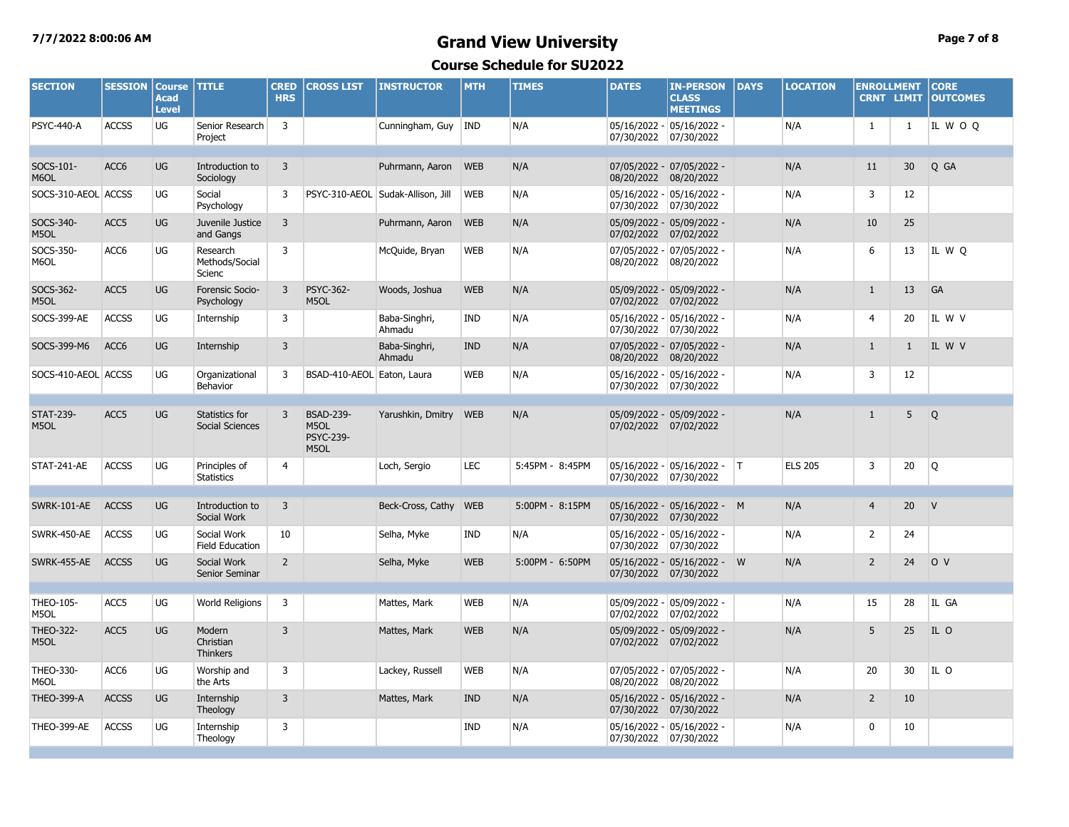### **7/7/2022 8:00:06 AM Grand View University Page 7 of 8 Course Schedule for SU2022**

| <b>SECTION</b>           | <b>SESSION</b>   | <b>Course</b><br><b>Acad</b><br><b>Level</b> | <b>TITLE</b>                           | <b>CRED</b><br><b>HRS</b> | <b>CROSS LIST</b>                                    | <b>INSTRUCTOR</b>                 | <b>MTH</b> | <b>TIMES</b>    | <b>DATES</b>          | <b>IN-PERSON</b><br><b>CLASS</b><br><b>MEETINGS</b> | <b>DAYS</b> | <b>LOCATION</b> | <b>ENROLLMENT</b> | <b>CRNT LIMIT</b> | <b>CORE</b><br><b>OUTCOMES</b> |
|--------------------------|------------------|----------------------------------------------|----------------------------------------|---------------------------|------------------------------------------------------|-----------------------------------|------------|-----------------|-----------------------|-----------------------------------------------------|-------------|-----------------|-------------------|-------------------|--------------------------------|
| <b>PSYC-440-A</b>        | <b>ACCSS</b>     | UG                                           | Senior Research<br>Project             | $\overline{3}$            |                                                      | Cunningham, Guy                   | <b>IND</b> | N/A             | 07/30/2022            | 05/16/2022 - 05/16/2022 -<br>07/30/2022             |             | N/A             | 1                 | $\mathbf{1}$      | IL WOO                         |
|                          |                  |                                              |                                        |                           |                                                      |                                   |            |                 |                       |                                                     |             |                 |                   |                   |                                |
| SOCS-101-<br>M6OL        | ACC <sub>6</sub> | <b>UG</b>                                    | Introduction to<br>Sociology           | 3                         |                                                      | Puhrmann, Aaron                   | <b>WEB</b> | N/A             | 08/20/2022            | 07/05/2022 - 07/05/2022 -<br>08/20/2022             |             | N/A             | 11                | 30 <sup>°</sup>   | Q GA                           |
| SOCS-310-AEOL ACCSS      |                  | UG                                           | Social<br>Psychology                   | 3                         |                                                      | PSYC-310-AEOL Sudak-Allison, Jill | WEB        | N/A             | 07/30/2022            | 05/16/2022 - 05/16/2022 -<br>07/30/2022             |             | N/A             | 3                 | 12                |                                |
| SOCS-340-<br>M5OL        | ACC5             | UG                                           | Juvenile Justice<br>and Gangs          | 3                         |                                                      | Puhrmann, Aaron                   | <b>WEB</b> | N/A             | 07/02/2022            | 05/09/2022 - 05/09/2022 -<br>07/02/2022             |             | N/A             | 10                | 25                |                                |
| SOCS-350-<br>M6OL        | ACC6             | UG                                           | Research<br>Methods/Social<br>Scienc   | 3                         |                                                      | McQuide, Bryan                    | <b>WEB</b> | N/A             | 08/20/2022            | 07/05/2022 - 07/05/2022 -<br>08/20/2022             |             | N/A             | 6                 | 13                | IL W Q                         |
| SOCS-362-<br>M5OL        | ACC5             | UG                                           | Forensic Socio-<br>Psychology          | $\overline{3}$            | PSYC-362-<br>M5OL                                    | Woods, Joshua                     | <b>WEB</b> | N/A             | 07/02/2022            | 05/09/2022 - 05/09/2022 -<br>07/02/2022             |             | N/A             | $\mathbf{1}$      | 13                | GA                             |
| SOCS-399-AE              | <b>ACCSS</b>     | UG                                           | Internship                             | 3                         |                                                      | Baba-Singhri,<br>Ahmadu           | IND        | N/A             | 07/30/2022            | 05/16/2022 - 05/16/2022 -<br>07/30/2022             |             | N/A             | $\overline{4}$    | 20                | IL W V                         |
| SOCS-399-M6              | ACC6             | UG                                           | Internship                             | 3                         |                                                      | Baba-Singhri,<br>Ahmadu           | <b>IND</b> | N/A             | 08/20/2022            | 07/05/2022 - 07/05/2022 -<br>08/20/2022             |             | N/A             | $\mathbf{1}$      | $\mathbf{1}$      | IL W V                         |
| SOCS-410-AEOL ACCSS      |                  | UG                                           | Organizational<br>Behavior             | 3                         | BSAD-410-AEOL Eaton, Laura                           |                                   | <b>WEB</b> | N/A             | 07/30/2022            | 05/16/2022 - 05/16/2022 -<br>07/30/2022             |             | N/A             | 3                 | 12                |                                |
|                          |                  |                                              |                                        |                           |                                                      |                                   |            |                 |                       |                                                     |             |                 |                   |                   |                                |
| <b>STAT-239-</b><br>M5OL | ACC <sub>5</sub> | UG                                           | Statistics for<br>Social Sciences      | 3                         | <b>BSAD-239-</b><br>M5OL<br><b>PSYC-239-</b><br>M5OL | Yarushkin, Dmitry                 | <b>WEB</b> | N/A             | 07/02/2022 07/02/2022 | 05/09/2022 - 05/09/2022 -                           |             | N/A             | $\mathbf{1}$      | 5                 | Q                              |
| STAT-241-AE              | <b>ACCSS</b>     | UG                                           | Principles of<br><b>Statistics</b>     | 4                         |                                                      | Loch, Sergio                      | <b>LEC</b> | 5:45PM - 8:45PM | 07/30/2022 07/30/2022 | 05/16/2022 - 05/16/2022 -                           | T           | <b>ELS 205</b>  | 3                 | 20                | Q                              |
|                          |                  |                                              |                                        |                           |                                                      |                                   |            |                 |                       |                                                     |             |                 |                   |                   |                                |
| SWRK-101-AE              | <b>ACCSS</b>     | <b>UG</b>                                    | Introduction to<br>Social Work         | 3                         |                                                      | Beck-Cross, Cathy                 | <b>WEB</b> | 5:00PM - 8:15PM | 07/30/2022 07/30/2022 | 05/16/2022 - 05/16/2022 - M                         |             | N/A             | $\overline{4}$    | 20                | $\mathsf{V}$                   |
| SWRK-450-AE              | <b>ACCSS</b>     | UG                                           | Social Work<br>Field Education         | 10                        |                                                      | Selha, Myke                       | <b>IND</b> | N/A             | 07/30/2022            | 05/16/2022 - 05/16/2022 -<br>07/30/2022             |             | N/A             | $\overline{2}$    | 24                |                                |
| SWRK-455-AE              | <b>ACCSS</b>     | UG                                           | Social Work<br>Senior Seminar          | $\overline{2}$            |                                                      | Selha, Myke                       | <b>WEB</b> | 5:00PM - 6:50PM | 07/30/2022            | 05/16/2022 - 05/16/2022 - W<br>07/30/2022           |             | N/A             | $\overline{2}$    | 24                | O V                            |
|                          |                  |                                              |                                        |                           |                                                      |                                   |            |                 |                       |                                                     |             |                 |                   |                   |                                |
| THEO-105-<br>M5OL        | ACC5             | UG                                           | World Religions                        | 3                         |                                                      | Mattes, Mark                      | <b>WEB</b> | N/A             | 07/02/2022            | 05/09/2022 - 05/09/2022 -<br>07/02/2022             |             | N/A             | 15                | 28                | IL GA                          |
| <b>THEO-322-</b><br>M5OL | ACC <sub>5</sub> | UG                                           | Modern<br>Christian<br><b>Thinkers</b> | 3                         |                                                      | Mattes, Mark                      | <b>WEB</b> | N/A             | 07/02/2022 07/02/2022 | 05/09/2022 - 05/09/2022 -                           |             | N/A             | 5                 | 25                | IL O                           |
| THEO-330-<br>M6OL        | ACC6             | UG                                           | Worship and<br>the Arts                | 3                         |                                                      | Lackey, Russell                   | <b>WEB</b> | N/A             | 08/20/2022            | 07/05/2022 - 07/05/2022 -<br>08/20/2022             |             | N/A             | 20                | 30                | IL O                           |
| <b>THEO-399-A</b>        | <b>ACCSS</b>     | <b>UG</b>                                    | Internship<br>Theology                 | 3                         |                                                      | Mattes, Mark                      | <b>IND</b> | N/A             | 07/30/2022 07/30/2022 | 05/16/2022 - 05/16/2022 -                           |             | N/A             | $\overline{2}$    | 10                |                                |
| THEO-399-AE              | <b>ACCSS</b>     | UG                                           | Internship<br>Theology                 | 3                         |                                                      |                                   | IND        | N/A             | 07/30/2022 07/30/2022 | 05/16/2022 - 05/16/2022 -                           |             | N/A             | 0                 | 10                |                                |